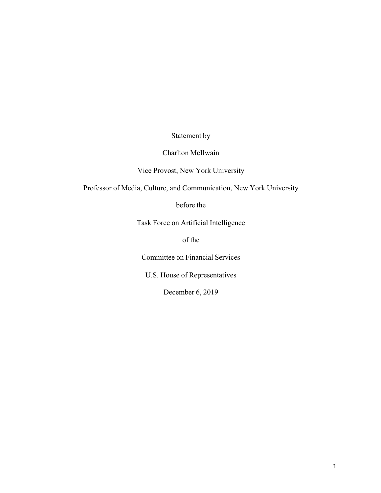Statement by

# Charlton McIlwain

Vice Provost, New York University

Professor of Media, Culture, and Communication, New York University

before the

Task Force on Artificial Intelligence

of the

Committee on Financial Services

U.S. House of Representatives

December 6, 2019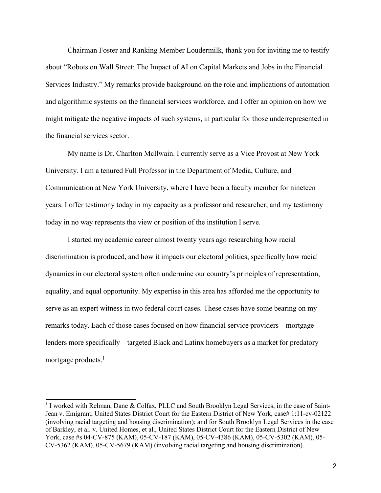Chairman Foster and Ranking Member Loudermilk, thank you for inviting me to testify about "Robots on Wall Street: The Impact of AI on Capital Markets and Jobs in the Financial Services Industry." My remarks provide background on the role and implications of automation and algorithmic systems on the financial services workforce, and I offer an opinion on how we might mitigate the negative impacts of such systems, in particular for those underrepresented in the financial services sector.

My name is Dr. Charlton McIlwain. I currently serve as a Vice Provost at New York University. I am a tenured Full Professor in the Department of Media, Culture, and Communication at New York University, where I have been a faculty member for nineteen years. I offer testimony today in my capacity as a professor and researcher, and my testimony today in no way represents the view or position of the institution I serve.

I started my academic career almost twenty years ago researching how racial discrimination is produced, and how it impacts our electoral politics, specifically how racial dynamics in our electoral system often undermine our country's principles of representation, equality, and equal opportunity. My expertise in this area has afforded me the opportunity to serve as an expert witness in two federal court cases. These cases have some bearing on my remarks today. Each of those cases focused on how financial service providers – mortgage lenders more specifically – targeted Black and Latinx homebuyers as a market for predatory mortgage products. $<sup>1</sup>$ </sup>

<sup>&</sup>lt;sup>1</sup> I worked with Relman, Dane & Colfax, PLLC and South Brooklyn Legal Services, in the case of Saint-Jean v. Emigrant, United States District Court for the Eastern District of New York, case# 1:11-cv-02122 (involving racial targeting and housing discrimination); and for South Brooklyn Legal Services in the case of Barkley, et al. v. United Homes, et al., United States District Court for the Eastern District of New York, case #s 04-CV-875 (KAM), 05-CV-187 (KAM), 05-CV-4386 (KAM), 05-CV-5302 (KAM), 05- CV-5362 (KAM), 05-CV-5679 (KAM) (involving racial targeting and housing discrimination).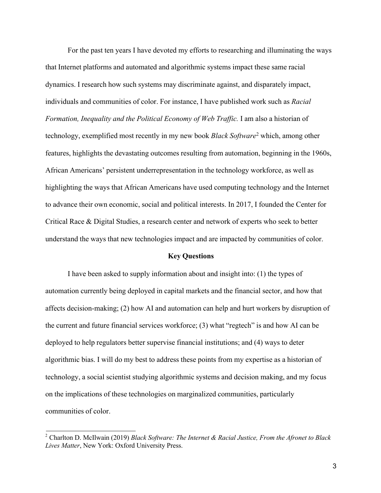For the past ten years I have devoted my efforts to researching and illuminating the ways that Internet platforms and automated and algorithmic systems impact these same racial dynamics. I research how such systems may discriminate against, and disparately impact, individuals and communities of color. For instance, I have published work such as *Racial Formation, Inequality and the Political Economy of Web Traffic.* I am also a historian of technology, exemplified most recently in my new book *Black Software*<sup>2</sup> which, among other features, highlights the devastating outcomes resulting from automation, beginning in the 1960s, African Americans' persistent underrepresentation in the technology workforce, as well as highlighting the ways that African Americans have used computing technology and the Internet to advance their own economic, social and political interests. In 2017, I founded the Center for Critical Race & Digital Studies, a research center and network of experts who seek to better understand the ways that new technologies impact and are impacted by communities of color.

# **Key Questions**

I have been asked to supply information about and insight into: (1) the types of automation currently being deployed in capital markets and the financial sector, and how that affects decision-making; (2) how AI and automation can help and hurt workers by disruption of the current and future financial services workforce; (3) what "regtech" is and how AI can be deployed to help regulators better supervise financial institutions; and (4) ways to deter algorithmic bias. I will do my best to address these points from my expertise as a historian of technology, a social scientist studying algorithmic systems and decision making, and my focus on the implications of these technologies on marginalized communities, particularly communities of color.

<sup>2</sup> Charlton D. McIlwain (2019) *Black Software: The Internet & Racial Justice, From the Afronet to Black Lives Matter*, New York: Oxford University Press.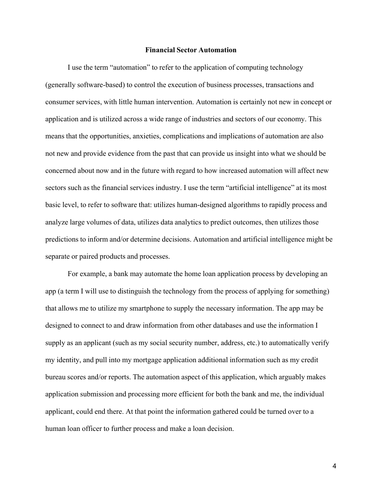#### **Financial Sector Automation**

I use the term "automation" to refer to the application of computing technology (generally software-based) to control the execution of business processes, transactions and consumer services, with little human intervention. Automation is certainly not new in concept or application and is utilized across a wide range of industries and sectors of our economy. This means that the opportunities, anxieties, complications and implications of automation are also not new and provide evidence from the past that can provide us insight into what we should be concerned about now and in the future with regard to how increased automation will affect new sectors such as the financial services industry. I use the term "artificial intelligence" at its most basic level, to refer to software that: utilizes human-designed algorithms to rapidly process and analyze large volumes of data, utilizes data analytics to predict outcomes, then utilizes those predictions to inform and/or determine decisions. Automation and artificial intelligence might be separate or paired products and processes.

For example, a bank may automate the home loan application process by developing an app (a term I will use to distinguish the technology from the process of applying for something) that allows me to utilize my smartphone to supply the necessary information. The app may be designed to connect to and draw information from other databases and use the information I supply as an applicant (such as my social security number, address, etc.) to automatically verify my identity, and pull into my mortgage application additional information such as my credit bureau scores and/or reports. The automation aspect of this application, which arguably makes application submission and processing more efficient for both the bank and me, the individual applicant, could end there. At that point the information gathered could be turned over to a human loan officer to further process and make a loan decision.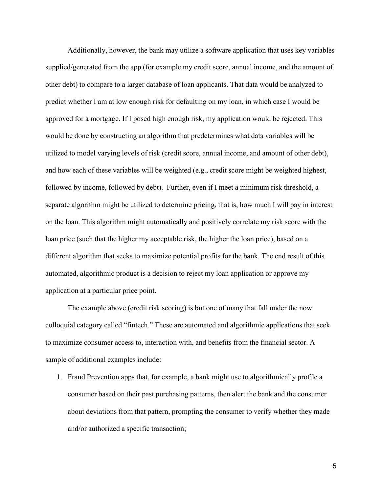Additionally, however, the bank may utilize a software application that uses key variables supplied/generated from the app (for example my credit score, annual income, and the amount of other debt) to compare to a larger database of loan applicants. That data would be analyzed to predict whether I am at low enough risk for defaulting on my loan, in which case I would be approved for a mortgage. If I posed high enough risk, my application would be rejected. This would be done by constructing an algorithm that predetermines what data variables will be utilized to model varying levels of risk (credit score, annual income, and amount of other debt), and how each of these variables will be weighted (e.g., credit score might be weighted highest, followed by income, followed by debt). Further, even if I meet a minimum risk threshold, a separate algorithm might be utilized to determine pricing, that is, how much I will pay in interest on the loan. This algorithm might automatically and positively correlate my risk score with the loan price (such that the higher my acceptable risk, the higher the loan price), based on a different algorithm that seeks to maximize potential profits for the bank. The end result of this automated, algorithmic product is a decision to reject my loan application or approve my application at a particular price point.

The example above (credit risk scoring) is but one of many that fall under the now colloquial category called "fintech." These are automated and algorithmic applications that seek to maximize consumer access to, interaction with, and benefits from the financial sector. A sample of additional examples include:

1. Fraud Prevention apps that, for example, a bank might use to algorithmically profile a consumer based on their past purchasing patterns, then alert the bank and the consumer about deviations from that pattern, prompting the consumer to verify whether they made and/or authorized a specific transaction;

5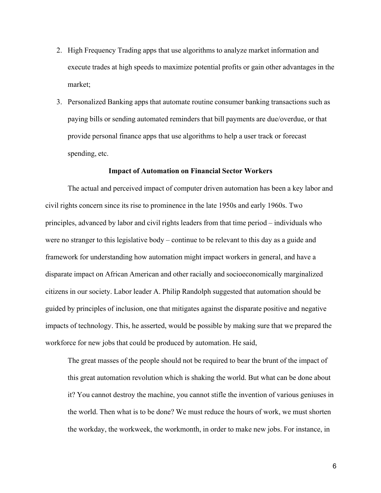- 2. High Frequency Trading apps that use algorithms to analyze market information and execute trades at high speeds to maximize potential profits or gain other advantages in the market;
- 3. Personalized Banking apps that automate routine consumer banking transactions such as paying bills or sending automated reminders that bill payments are due/overdue, or that provide personal finance apps that use algorithms to help a user track or forecast spending, etc.

# **Impact of Automation on Financial Sector Workers**

The actual and perceived impact of computer driven automation has been a key labor and civil rights concern since its rise to prominence in the late 1950s and early 1960s. Two principles, advanced by labor and civil rights leaders from that time period – individuals who were no stranger to this legislative body – continue to be relevant to this day as a guide and framework for understanding how automation might impact workers in general, and have a disparate impact on African American and other racially and socioeconomically marginalized citizens in our society. Labor leader A. Philip Randolph suggested that automation should be guided by principles of inclusion, one that mitigates against the disparate positive and negative impacts of technology. This, he asserted, would be possible by making sure that we prepared the workforce for new jobs that could be produced by automation. He said,

The great masses of the people should not be required to bear the brunt of the impact of this great automation revolution which is shaking the world. But what can be done about it? You cannot destroy the machine, you cannot stifle the invention of various geniuses in the world. Then what is to be done? We must reduce the hours of work, we must shorten the workday, the workweek, the workmonth, in order to make new jobs. For instance, in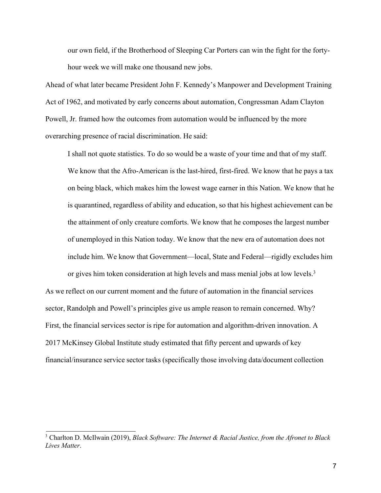our own field, if the Brotherhood of Sleeping Car Porters can win the fight for the fortyhour week we will make one thousand new jobs.

Ahead of what later became President John F. Kennedy's Manpower and Development Training Act of 1962, and motivated by early concerns about automation, Congressman Adam Clayton Powell, Jr. framed how the outcomes from automation would be influenced by the more overarching presence of racial discrimination. He said:

I shall not quote statistics. To do so would be a waste of your time and that of my staff. We know that the Afro-American is the last-hired, first-fired. We know that he pays a tax on being black, which makes him the lowest wage earner in this Nation. We know that he is quarantined, regardless of ability and education, so that his highest achievement can be the attainment of only creature comforts. We know that he composes the largest number of unemployed in this Nation today. We know that the new era of automation does not include him. We know that Government—local, State and Federal—rigidly excludes him or gives him token consideration at high levels and mass menial jobs at low levels.<sup>3</sup>

As we reflect on our current moment and the future of automation in the financial services sector, Randolph and Powell's principles give us ample reason to remain concerned. Why? First, the financial services sector is ripe for automation and algorithm-driven innovation. A 2017 McKinsey Global Institute study estimated that fifty percent and upwards of key financial/insurance service sector tasks (specifically those involving data/document collection

<sup>3</sup> Charlton D. McIlwain (2019), *Black Software: The Internet & Racial Justice, from the Afronet to Black Lives Matter*.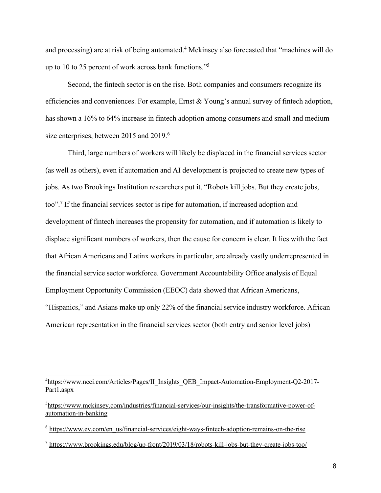and processing) are at risk of being automated. <sup>4</sup> Mckinsey also forecasted that "machines will do up to 10 to 25 percent of work across bank functions."5

Second, the fintech sector is on the rise. Both companies and consumers recognize its efficiencies and conveniences. For example, Ernst & Young's annual survey of fintech adoption, has shown a 16% to 64% increase in fintech adoption among consumers and small and medium size enterprises, between 2015 and 2019.<sup>6</sup>

Third, large numbers of workers will likely be displaced in the financial services sector (as well as others), even if automation and AI development is projected to create new types of jobs. As two Brookings Institution researchers put it, "Robots kill jobs. But they create jobs, too". <sup>7</sup> If the financial services sector is ripe for automation, if increased adoption and development of fintech increases the propensity for automation, and if automation is likely to displace significant numbers of workers, then the cause for concern is clear. It lies with the fact that African Americans and Latinx workers in particular, are already vastly underrepresented in the financial service sector workforce. Government Accountability Office analysis of Equal Employment Opportunity Commission (EEOC) data showed that African Americans, "Hispanics," and Asians make up only 22% of the financial service industry workforce. African American representation in the financial services sector (both entry and senior level jobs)

<sup>7</sup> https://www.brookings.edu/blog/up-front/2019/03/18/robots-kill-jobs-but-they-create-jobs-too/

<sup>&</sup>lt;sup>4</sup>https://www.ncci.com/Articles/Pages/II\_Insights\_QEB\_Impact-Automation-Employment-Q2-2017-Part1.aspx

<sup>&</sup>lt;sup>5</sup>https://www.mckinsey.com/industries/financial-services/our-insights/the-transformative-power-ofautomation-in-banking

 $6$  https://www.ey.com/en\_us/financial-services/eight-ways-fintech-adoption-remains-on-the-rise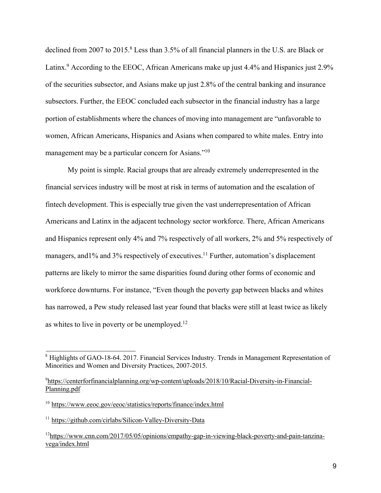declined from 2007 to 2015.<sup>8</sup> Less than 3.5% of all financial planners in the U.S. are Black or Latinx.<sup>9</sup> According to the EEOC, African Americans make up just 4.4% and Hispanics just 2.9% of the securities subsector, and Asians make up just 2.8% of the central banking and insurance subsectors. Further, the EEOC concluded each subsector in the financial industry has a large portion of establishments where the chances of moving into management are "unfavorable to women, African Americans, Hispanics and Asians when compared to white males. Entry into management may be a particular concern for Asians."10

My point is simple. Racial groups that are already extremely underrepresented in the financial services industry will be most at risk in terms of automation and the escalation of fintech development. This is especially true given the vast underrepresentation of African Americans and Latinx in the adjacent technology sector workforce. There, African Americans and Hispanics represent only 4% and 7% respectively of all workers, 2% and 5% respectively of managers, and 1% and 3% respectively of executives.<sup>11</sup> Further, automation's displacement patterns are likely to mirror the same disparities found during other forms of economic and workforce downturns. For instance, "Even though the poverty gap between blacks and whites has narrowed, a Pew study released last year found that blacks were still at least twice as likely as whites to live in poverty or be unemployed. $12$ 

<sup>&</sup>lt;sup>8</sup> Highlights of GAO-18-64. 2017. Financial Services Industry. Trends in Management Representation of Minorities and Women and Diversity Practices, 2007-2015.

<sup>9</sup> https://centerforfinancialplanning.org/wp-content/uploads/2018/10/Racial-Diversity-in-Financial-Planning.pdf

<sup>10</sup> https://www.eeoc.gov/eeoc/statistics/reports/finance/index.html

<sup>11</sup> https://github.com/cirlabs/Silicon-Valley-Diversity-Data

<sup>&</sup>lt;sup>12</sup>https://www.cnn.com/2017/05/05/opinions/empathy-gap-in-viewing-black-poverty-and-pain-tanzinavega/index.html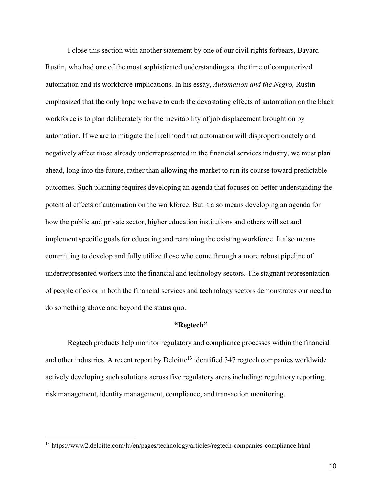I close this section with another statement by one of our civil rights forbears, Bayard Rustin, who had one of the most sophisticated understandings at the time of computerized automation and its workforce implications. In his essay, *Automation and the Negro,* Rustin emphasized that the only hope we have to curb the devastating effects of automation on the black workforce is to plan deliberately for the inevitability of job displacement brought on by automation. If we are to mitigate the likelihood that automation will disproportionately and negatively affect those already underrepresented in the financial services industry, we must plan ahead, long into the future, rather than allowing the market to run its course toward predictable outcomes. Such planning requires developing an agenda that focuses on better understanding the potential effects of automation on the workforce. But it also means developing an agenda for how the public and private sector, higher education institutions and others will set and implement specific goals for educating and retraining the existing workforce. It also means committing to develop and fully utilize those who come through a more robust pipeline of underrepresented workers into the financial and technology sectors. The stagnant representation of people of color in both the financial services and technology sectors demonstrates our need to do something above and beyond the status quo.

# **"Regtech"**

Regtech products help monitor regulatory and compliance processes within the financial and other industries. A recent report by Deloitte<sup>13</sup> identified  $347$  regtech companies worldwide actively developing such solutions across five regulatory areas including: regulatory reporting, risk management, identity management, compliance, and transaction monitoring.

<sup>&</sup>lt;sup>13</sup> https://www2.deloitte.com/lu/en/pages/technology/articles/regtech-companies-compliance.html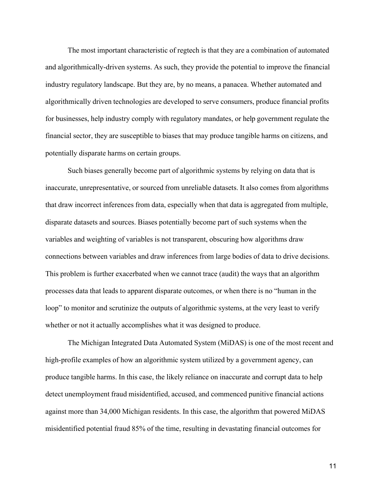The most important characteristic of regtech is that they are a combination of automated and algorithmically-driven systems. As such, they provide the potential to improve the financial industry regulatory landscape. But they are, by no means, a panacea. Whether automated and algorithmically driven technologies are developed to serve consumers, produce financial profits for businesses, help industry comply with regulatory mandates, or help government regulate the financial sector, they are susceptible to biases that may produce tangible harms on citizens, and potentially disparate harms on certain groups.

Such biases generally become part of algorithmic systems by relying on data that is inaccurate, unrepresentative, or sourced from unreliable datasets. It also comes from algorithms that draw incorrect inferences from data, especially when that data is aggregated from multiple, disparate datasets and sources. Biases potentially become part of such systems when the variables and weighting of variables is not transparent, obscuring how algorithms draw connections between variables and draw inferences from large bodies of data to drive decisions. This problem is further exacerbated when we cannot trace (audit) the ways that an algorithm processes data that leads to apparent disparate outcomes, or when there is no "human in the loop" to monitor and scrutinize the outputs of algorithmic systems, at the very least to verify whether or not it actually accomplishes what it was designed to produce.

The Michigan Integrated Data Automated System (MiDAS) is one of the most recent and high-profile examples of how an algorithmic system utilized by a government agency, can produce tangible harms. In this case, the likely reliance on inaccurate and corrupt data to help detect unemployment fraud misidentified, accused, and commenced punitive financial actions against more than 34,000 Michigan residents. In this case, the algorithm that powered MiDAS misidentified potential fraud 85% of the time, resulting in devastating financial outcomes for

11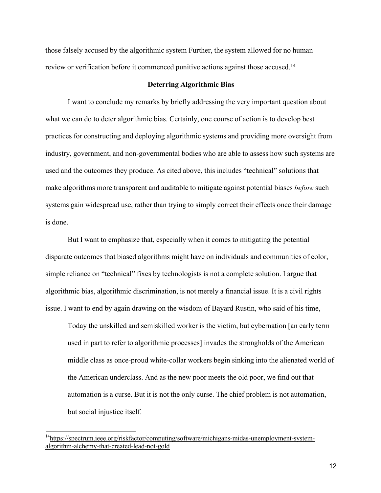those falsely accused by the algorithmic system Further, the system allowed for no human review or verification before it commenced punitive actions against those accused.<sup>14</sup>

# **Deterring Algorithmic Bias**

I want to conclude my remarks by briefly addressing the very important question about what we can do to deter algorithmic bias. Certainly, one course of action is to develop best practices for constructing and deploying algorithmic systems and providing more oversight from industry, government, and non-governmental bodies who are able to assess how such systems are used and the outcomes they produce. As cited above, this includes "technical" solutions that make algorithms more transparent and auditable to mitigate against potential biases *before* such systems gain widespread use, rather than trying to simply correct their effects once their damage is done.

But I want to emphasize that, especially when it comes to mitigating the potential disparate outcomes that biased algorithms might have on individuals and communities of color, simple reliance on "technical" fixes by technologists is not a complete solution. I argue that algorithmic bias, algorithmic discrimination, is not merely a financial issue. It is a civil rights issue. I want to end by again drawing on the wisdom of Bayard Rustin, who said of his time,

Today the unskilled and semiskilled worker is the victim, but cybernation [an early term used in part to refer to algorithmic processes] invades the strongholds of the American middle class as once-proud white-collar workers begin sinking into the alienated world of the American underclass. And as the new poor meets the old poor, we find out that automation is a curse. But it is not the only curse. The chief problem is not automation, but social injustice itself.

<sup>&</sup>lt;sup>14</sup>https://spectrum.ieee.org/riskfactor/computing/software/michigans-midas-unemployment-systemalgorithm-alchemy-that-created-lead-not-gold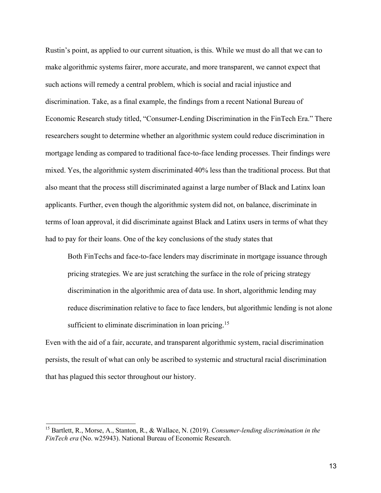Rustin's point, as applied to our current situation, is this. While we must do all that we can to make algorithmic systems fairer, more accurate, and more transparent, we cannot expect that such actions will remedy a central problem, which is social and racial injustice and discrimination. Take, as a final example, the findings from a recent National Bureau of Economic Research study titled, "Consumer-Lending Discrimination in the FinTech Era." There researchers sought to determine whether an algorithmic system could reduce discrimination in mortgage lending as compared to traditional face-to-face lending processes. Their findings were mixed. Yes, the algorithmic system discriminated 40% less than the traditional process. But that also meant that the process still discriminated against a large number of Black and Latinx loan applicants. Further, even though the algorithmic system did not, on balance, discriminate in terms of loan approval, it did discriminate against Black and Latinx users in terms of what they had to pay for their loans. One of the key conclusions of the study states that

Both FinTechs and face-to-face lenders may discriminate in mortgage issuance through pricing strategies. We are just scratching the surface in the role of pricing strategy discrimination in the algorithmic area of data use. In short, algorithmic lending may reduce discrimination relative to face to face lenders, but algorithmic lending is not alone sufficient to eliminate discrimination in loan pricing.<sup>15</sup>

Even with the aid of a fair, accurate, and transparent algorithmic system, racial discrimination persists, the result of what can only be ascribed to systemic and structural racial discrimination that has plagued this sector throughout our history.

<sup>15</sup> Bartlett, R., Morse, A., Stanton, R., & Wallace, N. (2019). *Consumer-lending discrimination in the FinTech era* (No. w25943). National Bureau of Economic Research.